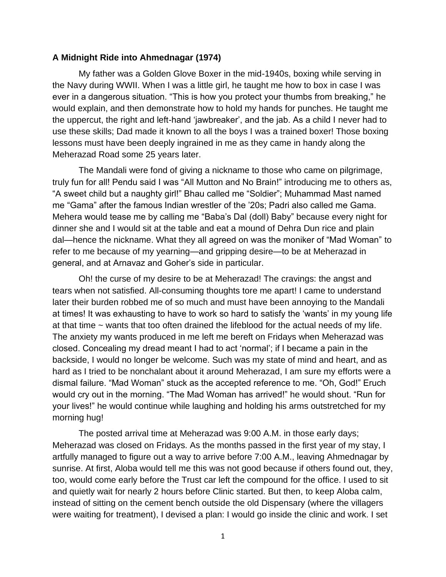## **A Midnight Ride into Ahmednagar (1974)**

My father was a Golden Glove Boxer in the mid-1940s, boxing while serving in the Navy during WWII. When I was a little girl, he taught me how to box in case I was ever in a dangerous situation. "This is how you protect your thumbs from breaking," he would explain, and then demonstrate how to hold my hands for punches. He taught me the uppercut, the right and left-hand 'jawbreaker', and the jab. As a child I never had to use these skills; Dad made it known to all the boys I was a trained boxer! Those boxing lessons must have been deeply ingrained in me as they came in handy along the Meherazad Road some 25 years later.

The Mandali were fond of giving a nickname to those who came on pilgrimage, truly fun for all! Pendu said I was "All Mutton and No Brain!" introducing me to others as, "A sweet child but a naughty girl!" Bhau called me "Soldier"; Muhammad Mast named me "Gama" after the famous Indian wrestler of the '20s; Padri also called me Gama. Mehera would tease me by calling me "Baba's Dal (doll) Baby" because every night for dinner she and I would sit at the table and eat a mound of Dehra Dun rice and plain dal—hence the nickname. What they all agreed on was the moniker of "Mad Woman" to refer to me because of my yearning—and gripping desire—to be at Meherazad in general, and at Arnavaz and Goher's side in particular.

Oh! the curse of my desire to be at Meherazad! The cravings: the angst and tears when not satisfied. All-consuming thoughts tore me apart! I came to understand later their burden robbed me of so much and must have been annoying to the Mandali at times! It was exhausting to have to work so hard to satisfy the 'wants' in my young life at that time ~ wants that too often drained the lifeblood for the actual needs of my life. The anxiety my wants produced in me left me bereft on Fridays when Meherazad was closed. Concealing my dread meant I had to act 'normal'; if I became a pain in the backside, I would no longer be welcome. Such was my state of mind and heart, and as hard as I tried to be nonchalant about it around Meherazad, I am sure my efforts were a dismal failure. "Mad Woman" stuck as the accepted reference to me. "Oh, God!" Eruch would cry out in the morning. "The Mad Woman has arrived!" he would shout. "Run for your lives!" he would continue while laughing and holding his arms outstretched for my morning hug!

The posted arrival time at Meherazad was 9:00 A.M. in those early days; Meherazad was closed on Fridays. As the months passed in the first year of my stay, I artfully managed to figure out a way to arrive before 7:00 A.M., leaving Ahmednagar by sunrise. At first, Aloba would tell me this was not good because if others found out, they, too, would come early before the Trust car left the compound for the office. I used to sit and quietly wait for nearly 2 hours before Clinic started. But then, to keep Aloba calm, instead of sitting on the cement bench outside the old Dispensary (where the villagers were waiting for treatment), I devised a plan: I would go inside the clinic and work. I set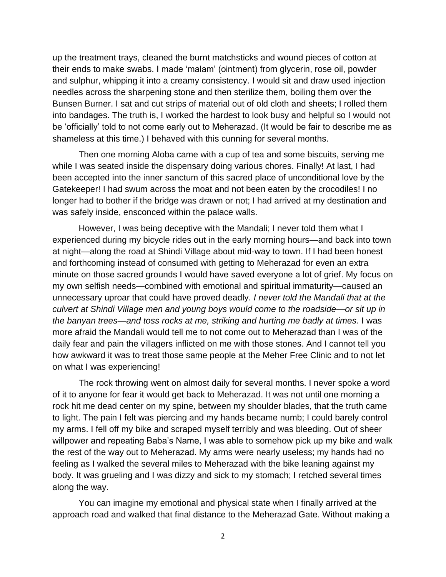up the treatment trays, cleaned the burnt matchsticks and wound pieces of cotton at their ends to make swabs. I made 'malam' (ointment) from glycerin, rose oil, powder and sulphur, whipping it into a creamy consistency. I would sit and draw used injection needles across the sharpening stone and then sterilize them, boiling them over the Bunsen Burner. I sat and cut strips of material out of old cloth and sheets; I rolled them into bandages. The truth is, I worked the hardest to look busy and helpful so I would not be 'officially' told to not come early out to Meherazad. (It would be fair to describe me as shameless at this time.) I behaved with this cunning for several months.

Then one morning Aloba came with a cup of tea and some biscuits, serving me while I was seated inside the dispensary doing various chores. Finally! At last, I had been accepted into the inner sanctum of this sacred place of unconditional love by the Gatekeeper! I had swum across the moat and not been eaten by the crocodiles! I no longer had to bother if the bridge was drawn or not; I had arrived at my destination and was safely inside, ensconced within the palace walls.

However, I was being deceptive with the Mandali; I never told them what I experienced during my bicycle rides out in the early morning hours—and back into town at night—along the road at Shindi Village about mid-way to town. If I had been honest and forthcoming instead of consumed with getting to Meherazad for even an extra minute on those sacred grounds I would have saved everyone a lot of grief. My focus on my own selfish needs—combined with emotional and spiritual immaturity—caused an unnecessary uproar that could have proved deadly. *I never told the Mandali that at the culvert at Shindi Village men and young boys would come to the roadside—or sit up in the banyan trees—and toss rocks at me, striking and hurting me badly at times.* I was more afraid the Mandali would tell me to not come out to Meherazad than I was of the daily fear and pain the villagers inflicted on me with those stones. And I cannot tell you how awkward it was to treat those same people at the Meher Free Clinic and to not let on what I was experiencing!

The rock throwing went on almost daily for several months. I never spoke a word of it to anyone for fear it would get back to Meherazad. It was not until one morning a rock hit me dead center on my spine, between my shoulder blades, that the truth came to light. The pain I felt was piercing and my hands became numb; I could barely control my arms. I fell off my bike and scraped myself terribly and was bleeding. Out of sheer willpower and repeating Baba's Name, I was able to somehow pick up my bike and walk the rest of the way out to Meherazad. My arms were nearly useless; my hands had no feeling as I walked the several miles to Meherazad with the bike leaning against my body. It was grueling and I was dizzy and sick to my stomach; I retched several times along the way.

You can imagine my emotional and physical state when I finally arrived at the approach road and walked that final distance to the Meherazad Gate. Without making a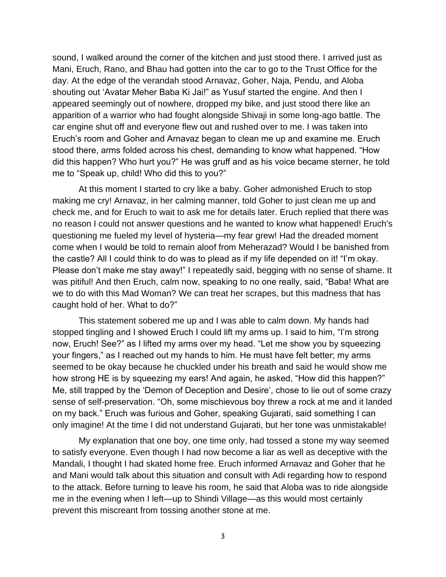sound, I walked around the corner of the kitchen and just stood there. I arrived just as Mani, Eruch, Rano, and Bhau had gotten into the car to go to the Trust Office for the day. At the edge of the verandah stood Arnavaz, Goher, Naja, Pendu, and Aloba shouting out 'Avatar Meher Baba Ki Jai!" as Yusuf started the engine. And then I appeared seemingly out of nowhere, dropped my bike, and just stood there like an apparition of a warrior who had fought alongside Shivaji in some long-ago battle. The car engine shut off and everyone flew out and rushed over to me. I was taken into Eruch's room and Goher and Arnavaz began to clean me up and examine me. Eruch stood there, arms folded across his chest, demanding to know what happened. "How did this happen? Who hurt you?" He was gruff and as his voice became sterner, he told me to "Speak up, child! Who did this to you?"

At this moment I started to cry like a baby. Goher admonished Eruch to stop making me cry! Arnavaz, in her calming manner, told Goher to just clean me up and check me, and for Eruch to wait to ask me for details later. Eruch replied that there was no reason I could not answer questions and he wanted to know what happened! Eruch's questioning me fueled my level of hysteria—my fear grew! Had the dreaded moment come when I would be told to remain aloof from Meherazad? Would I be banished from the castle? All I could think to do was to plead as if my life depended on it! "I'm okay. Please don't make me stay away!" I repeatedly said, begging with no sense of shame. It was pitiful! And then Eruch, calm now, speaking to no one really, said, "Baba! What are we to do with this Mad Woman? We can treat her scrapes, but this madness that has caught hold of her. What to do?"

This statement sobered me up and I was able to calm down. My hands had stopped tingling and I showed Eruch I could lift my arms up. I said to him, "I'm strong now, Eruch! See?" as I lifted my arms over my head. "Let me show you by squeezing your fingers," as I reached out my hands to him. He must have felt better; my arms seemed to be okay because he chuckled under his breath and said he would show me how strong HE is by squeezing my ears! And again, he asked, "How did this happen?" Me, still trapped by the 'Demon of Deception and Desire', chose to lie out of some crazy sense of self-preservation. "Oh, some mischievous boy threw a rock at me and it landed on my back." Eruch was furious and Goher, speaking Gujarati, said something I can only imagine! At the time I did not understand Gujarati, but her tone was unmistakable!

My explanation that one boy, one time only, had tossed a stone my way seemed to satisfy everyone. Even though I had now become a liar as well as deceptive with the Mandali, I thought I had skated home free. Eruch informed Arnavaz and Goher that he and Mani would talk about this situation and consult with Adi regarding how to respond to the attack. Before turning to leave his room, he said that Aloba was to ride alongside me in the evening when I left—up to Shindi Village—as this would most certainly prevent this miscreant from tossing another stone at me.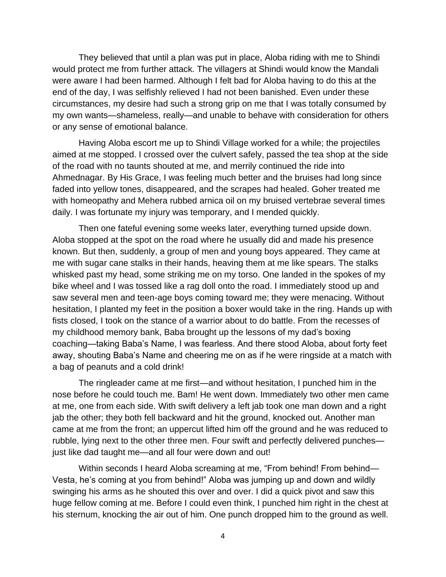They believed that until a plan was put in place, Aloba riding with me to Shindi would protect me from further attack. The villagers at Shindi would know the Mandali were aware I had been harmed. Although I felt bad for Aloba having to do this at the end of the day, I was selfishly relieved I had not been banished. Even under these circumstances, my desire had such a strong grip on me that I was totally consumed by my own wants—shameless, really—and unable to behave with consideration for others or any sense of emotional balance.

Having Aloba escort me up to Shindi Village worked for a while; the projectiles aimed at me stopped. I crossed over the culvert safely, passed the tea shop at the side of the road with no taunts shouted at me, and merrily continued the ride into Ahmednagar. By His Grace, I was feeling much better and the bruises had long since faded into yellow tones, disappeared, and the scrapes had healed. Goher treated me with homeopathy and Mehera rubbed arnica oil on my bruised vertebrae several times daily. I was fortunate my injury was temporary, and I mended quickly.

Then one fateful evening some weeks later, everything turned upside down. Aloba stopped at the spot on the road where he usually did and made his presence known. But then, suddenly, a group of men and young boys appeared. They came at me with sugar cane stalks in their hands, heaving them at me like spears. The stalks whisked past my head, some striking me on my torso. One landed in the spokes of my bike wheel and I was tossed like a rag doll onto the road. I immediately stood up and saw several men and teen-age boys coming toward me; they were menacing. Without hesitation, I planted my feet in the position a boxer would take in the ring. Hands up with fists closed, I took on the stance of a warrior about to do battle. From the recesses of my childhood memory bank, Baba brought up the lessons of my dad's boxing coaching—taking Baba's Name, I was fearless. And there stood Aloba, about forty feet away, shouting Baba's Name and cheering me on as if he were ringside at a match with a bag of peanuts and a cold drink!

The ringleader came at me first—and without hesitation, I punched him in the nose before he could touch me. Bam! He went down. Immediately two other men came at me, one from each side. With swift delivery a left jab took one man down and a right jab the other; they both fell backward and hit the ground, knocked out. Another man came at me from the front; an uppercut lifted him off the ground and he was reduced to rubble, lying next to the other three men. Four swift and perfectly delivered punches just like dad taught me—and all four were down and out!

Within seconds I heard Aloba screaming at me, "From behind! From behind-Vesta, he's coming at you from behind!" Aloba was jumping up and down and wildly swinging his arms as he shouted this over and over. I did a quick pivot and saw this huge fellow coming at me. Before I could even think, I punched him right in the chest at his sternum, knocking the air out of him. One punch dropped him to the ground as well.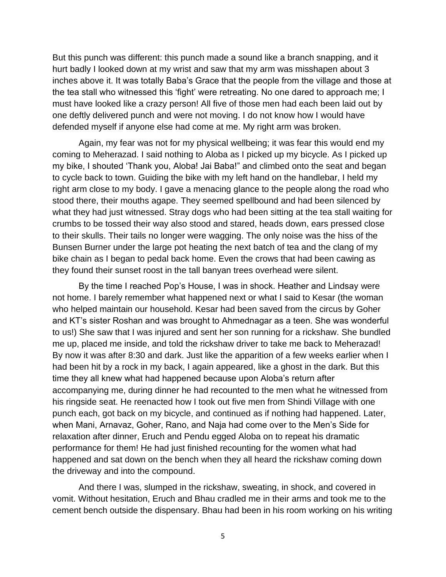But this punch was different: this punch made a sound like a branch snapping, and it hurt badly I looked down at my wrist and saw that my arm was misshapen about 3 inches above it. It was totally Baba's Grace that the people from the village and those at the tea stall who witnessed this 'fight' were retreating. No one dared to approach me; I must have looked like a crazy person! All five of those men had each been laid out by one deftly delivered punch and were not moving. I do not know how I would have defended myself if anyone else had come at me. My right arm was broken.

Again, my fear was not for my physical wellbeing; it was fear this would end my coming to Meherazad. I said nothing to Aloba as I picked up my bicycle. As I picked up my bike, I shouted 'Thank you, Aloba! Jai Baba!" and climbed onto the seat and began to cycle back to town. Guiding the bike with my left hand on the handlebar, I held my right arm close to my body. I gave a menacing glance to the people along the road who stood there, their mouths agape. They seemed spellbound and had been silenced by what they had just witnessed. Stray dogs who had been sitting at the tea stall waiting for crumbs to be tossed their way also stood and stared, heads down, ears pressed close to their skulls. Their tails no longer were wagging. The only noise was the hiss of the Bunsen Burner under the large pot heating the next batch of tea and the clang of my bike chain as I began to pedal back home. Even the crows that had been cawing as they found their sunset roost in the tall banyan trees overhead were silent.

By the time I reached Pop's House, I was in shock. Heather and Lindsay were not home. I barely remember what happened next or what I said to Kesar (the woman who helped maintain our household. Kesar had been saved from the circus by Goher and KT's sister Roshan and was brought to Ahmednagar as a teen. She was wonderful to us!) She saw that I was injured and sent her son running for a rickshaw. She bundled me up, placed me inside, and told the rickshaw driver to take me back to Meherazad! By now it was after 8:30 and dark. Just like the apparition of a few weeks earlier when I had been hit by a rock in my back, I again appeared, like a ghost in the dark. But this time they all knew what had happened because upon Aloba's return after accompanying me, during dinner he had recounted to the men what he witnessed from his ringside seat. He reenacted how I took out five men from Shindi Village with one punch each, got back on my bicycle, and continued as if nothing had happened. Later, when Mani, Arnavaz, Goher, Rano, and Naja had come over to the Men's Side for relaxation after dinner, Eruch and Pendu egged Aloba on to repeat his dramatic performance for them! He had just finished recounting for the women what had happened and sat down on the bench when they all heard the rickshaw coming down the driveway and into the compound.

And there I was, slumped in the rickshaw, sweating, in shock, and covered in vomit. Without hesitation, Eruch and Bhau cradled me in their arms and took me to the cement bench outside the dispensary. Bhau had been in his room working on his writing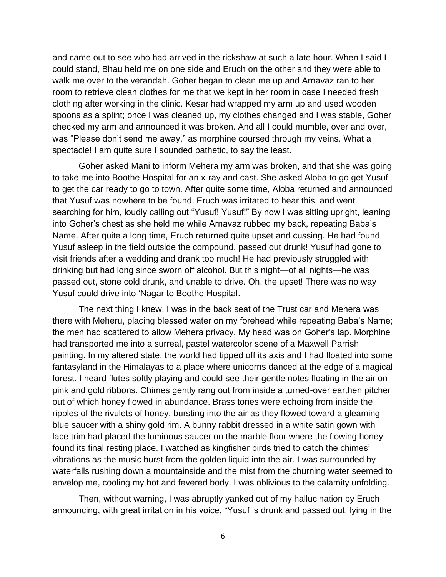and came out to see who had arrived in the rickshaw at such a late hour. When I said I could stand, Bhau held me on one side and Eruch on the other and they were able to walk me over to the verandah. Goher began to clean me up and Arnavaz ran to her room to retrieve clean clothes for me that we kept in her room in case I needed fresh clothing after working in the clinic. Kesar had wrapped my arm up and used wooden spoons as a splint; once I was cleaned up, my clothes changed and I was stable, Goher checked my arm and announced it was broken. And all I could mumble, over and over, was "Please don't send me away," as morphine coursed through my veins. What a spectacle! I am quite sure I sounded pathetic, to say the least.

Goher asked Mani to inform Mehera my arm was broken, and that she was going to take me into Boothe Hospital for an x-ray and cast. She asked Aloba to go get Yusuf to get the car ready to go to town. After quite some time, Aloba returned and announced that Yusuf was nowhere to be found. Eruch was irritated to hear this, and went searching for him, loudly calling out "Yusuf! Yusuf!" By now I was sitting upright, leaning into Goher's chest as she held me while Arnavaz rubbed my back, repeating Baba's Name. After quite a long time, Eruch returned quite upset and cussing. He had found Yusuf asleep in the field outside the compound, passed out drunk! Yusuf had gone to visit friends after a wedding and drank too much! He had previously struggled with drinking but had long since sworn off alcohol. But this night—of all nights—he was passed out, stone cold drunk, and unable to drive. Oh, the upset! There was no way Yusuf could drive into 'Nagar to Boothe Hospital.

The next thing I knew, I was in the back seat of the Trust car and Mehera was there with Meheru, placing blessed water on my forehead while repeating Baba's Name; the men had scattered to allow Mehera privacy. My head was on Goher's lap. Morphine had transported me into a surreal, pastel watercolor scene of a Maxwell Parrish painting. In my altered state, the world had tipped off its axis and I had floated into some fantasyland in the Himalayas to a place where unicorns danced at the edge of a magical forest. I heard flutes softly playing and could see their gentle notes floating in the air on pink and gold ribbons. Chimes gently rang out from inside a turned-over earthen pitcher out of which honey flowed in abundance. Brass tones were echoing from inside the ripples of the rivulets of honey, bursting into the air as they flowed toward a gleaming blue saucer with a shiny gold rim. A bunny rabbit dressed in a white satin gown with lace trim had placed the luminous saucer on the marble floor where the flowing honey found its final resting place. I watched as kingfisher birds tried to catch the chimes' vibrations as the music burst from the golden liquid into the air. I was surrounded by waterfalls rushing down a mountainside and the mist from the churning water seemed to envelop me, cooling my hot and fevered body. I was oblivious to the calamity unfolding.

Then, without warning, I was abruptly yanked out of my hallucination by Eruch announcing, with great irritation in his voice, "Yusuf is drunk and passed out, lying in the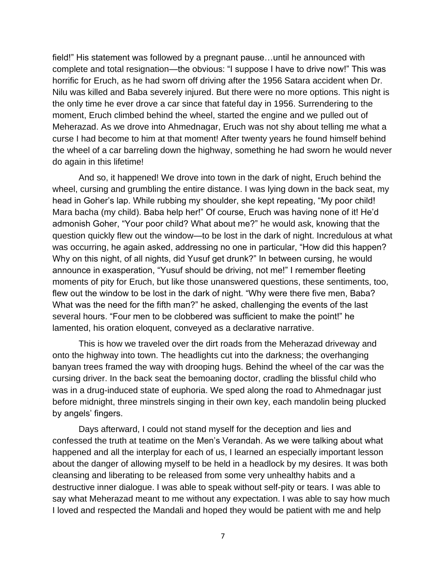field!" His statement was followed by a pregnant pause…until he announced with complete and total resignation—the obvious: "I suppose I have to drive now!" This was horrific for Eruch, as he had sworn off driving after the 1956 Satara accident when Dr. Nilu was killed and Baba severely injured. But there were no more options. This night is the only time he ever drove a car since that fateful day in 1956. Surrendering to the moment, Eruch climbed behind the wheel, started the engine and we pulled out of Meherazad. As we drove into Ahmednagar, Eruch was not shy about telling me what a curse I had become to him at that moment! After twenty years he found himself behind the wheel of a car barreling down the highway, something he had sworn he would never do again in this lifetime!

And so, it happened! We drove into town in the dark of night, Eruch behind the wheel, cursing and grumbling the entire distance. I was lying down in the back seat, my head in Goher's lap. While rubbing my shoulder, she kept repeating, "My poor child! Mara bacha (my child). Baba help her!" Of course, Eruch was having none of it! He'd admonish Goher, "Your poor child? What about me?" he would ask, knowing that the question quickly flew out the window—to be lost in the dark of night. Incredulous at what was occurring, he again asked, addressing no one in particular, "How did this happen? Why on this night, of all nights, did Yusuf get drunk?" In between cursing, he would announce in exasperation, "Yusuf should be driving, not me!" I remember fleeting moments of pity for Eruch, but like those unanswered questions, these sentiments, too, flew out the window to be lost in the dark of night. "Why were there five men, Baba? What was the need for the fifth man?" he asked, challenging the events of the last several hours. "Four men to be clobbered was sufficient to make the point!" he lamented, his oration eloquent, conveyed as a declarative narrative.

This is how we traveled over the dirt roads from the Meherazad driveway and onto the highway into town. The headlights cut into the darkness; the overhanging banyan trees framed the way with drooping hugs. Behind the wheel of the car was the cursing driver. In the back seat the bemoaning doctor, cradling the blissful child who was in a drug-induced state of euphoria. We sped along the road to Ahmednagar just before midnight, three minstrels singing in their own key, each mandolin being plucked by angels' fingers.

Days afterward, I could not stand myself for the deception and lies and confessed the truth at teatime on the Men's Verandah. As we were talking about what happened and all the interplay for each of us, I learned an especially important lesson about the danger of allowing myself to be held in a headlock by my desires. It was both cleansing and liberating to be released from some very unhealthy habits and a destructive inner dialogue. I was able to speak without self-pity or tears. I was able to say what Meherazad meant to me without any expectation. I was able to say how much I loved and respected the Mandali and hoped they would be patient with me and help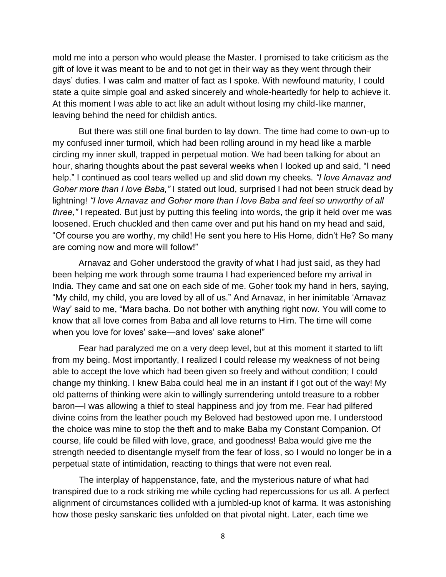mold me into a person who would please the Master. I promised to take criticism as the gift of love it was meant to be and to not get in their way as they went through their days' duties. I was calm and matter of fact as I spoke. With newfound maturity, I could state a quite simple goal and asked sincerely and whole-heartedly for help to achieve it. At this moment I was able to act like an adult without losing my child-like manner, leaving behind the need for childish antics.

But there was still one final burden to lay down. The time had come to own-up to my confused inner turmoil, which had been rolling around in my head like a marble circling my inner skull, trapped in perpetual motion. We had been talking for about an hour, sharing thoughts about the past several weeks when I looked up and said, "I need help." I continued as cool tears welled up and slid down my cheeks. *"I love Arnavaz and Goher more than I love Baba,"* I stated out loud, surprised I had not been struck dead by lightning! *"I love Arnavaz and Goher more than I love Baba and feel so unworthy of all three,"* I repeated. But just by putting this feeling into words, the grip it held over me was loosened. Eruch chuckled and then came over and put his hand on my head and said, "Of course you are worthy, my child! He sent you here to His Home, didn't He? So many are coming now and more will follow!"

Arnavaz and Goher understood the gravity of what I had just said, as they had been helping me work through some trauma I had experienced before my arrival in India. They came and sat one on each side of me. Goher took my hand in hers, saying, "My child, my child, you are loved by all of us." And Arnavaz, in her inimitable 'Arnavaz Way' said to me, "Mara bacha. Do not bother with anything right now. You will come to know that all love comes from Baba and all love returns to Him. The time will come when you love for loves' sake—and loves' sake alone!"

Fear had paralyzed me on a very deep level, but at this moment it started to lift from my being. Most importantly, I realized I could release my weakness of not being able to accept the love which had been given so freely and without condition; I could change my thinking. I knew Baba could heal me in an instant if I got out of the way! My old patterns of thinking were akin to willingly surrendering untold treasure to a robber baron—I was allowing a thief to steal happiness and joy from me. Fear had pilfered divine coins from the leather pouch my Beloved had bestowed upon me. I understood the choice was mine to stop the theft and to make Baba my Constant Companion. Of course, life could be filled with love, grace, and goodness! Baba would give me the strength needed to disentangle myself from the fear of loss, so I would no longer be in a perpetual state of intimidation, reacting to things that were not even real.

The interplay of happenstance, fate, and the mysterious nature of what had transpired due to a rock striking me while cycling had repercussions for us all. A perfect alignment of circumstances collided with a jumbled-up knot of karma. It was astonishing how those pesky sanskaric ties unfolded on that pivotal night. Later, each time we